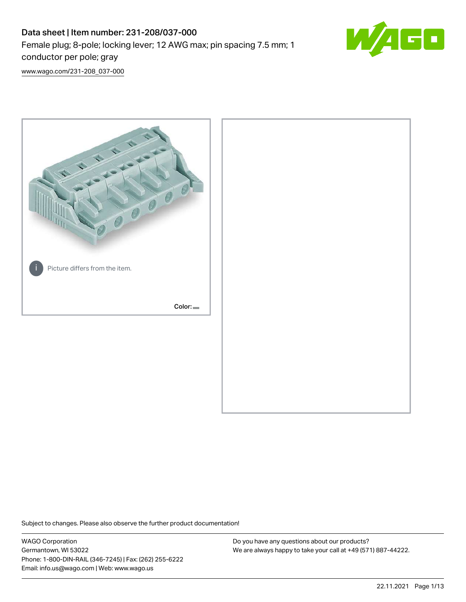# Data sheet | Item number: 231-208/037-000 Female plug; 8-pole; locking lever; 12 AWG max; pin spacing 7.5 mm; 1 conductor per pole; gray



[www.wago.com/231-208\\_037-000](http://www.wago.com/231-208_037-000)



Subject to changes. Please also observe the further product documentation!

WAGO Corporation Germantown, WI 53022 Phone: 1-800-DIN-RAIL (346-7245) | Fax: (262) 255-6222 Email: info.us@wago.com | Web: www.wago.us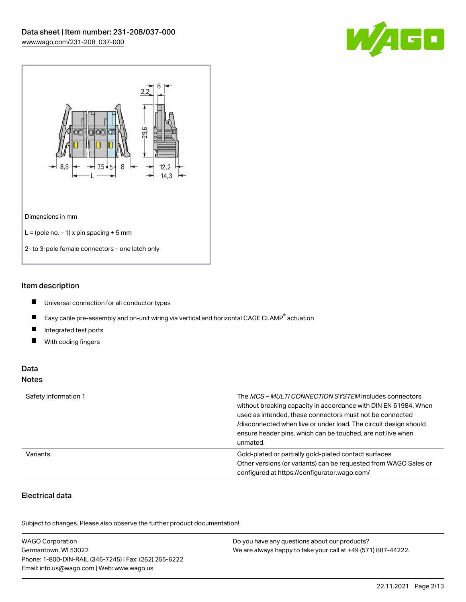



#### Item description

- $\blacksquare$ Universal connection for all conductor types
- $\blacksquare$ Easy cable pre-assembly and on-unit wiring via vertical and horizontal CAGE CLAMP<sup>®</sup> actuation
- $\blacksquare$ Integrated test ports
- $\blacksquare$ With coding fingers

#### Data Notes

| Safety information 1 | The <i>MCS – MULTI CONNECTION SYSTEM</i> includes connectors<br>without breaking capacity in accordance with DIN EN 61984. When<br>used as intended, these connectors must not be connected<br>/disconnected when live or under load. The circuit design should<br>ensure header pins, which can be touched, are not live when<br>unmated. |
|----------------------|--------------------------------------------------------------------------------------------------------------------------------------------------------------------------------------------------------------------------------------------------------------------------------------------------------------------------------------------|
| Variants:            | Gold-plated or partially gold-plated contact surfaces<br>Other versions (or variants) can be requested from WAGO Sales or<br>configured at https://configurator.wago.com/                                                                                                                                                                  |

## Electrical data

.<br>Subject to changes. Please also observe the further product documentation!

| <b>WAGO Corporation</b>                                | Do you have any questions about our products?                 |
|--------------------------------------------------------|---------------------------------------------------------------|
| Germantown, WI 53022                                   | We are always happy to take your call at +49 (571) 887-44222. |
| Phone: 1-800-DIN-RAIL (346-7245)   Fax: (262) 255-6222 |                                                               |
| Email: info.us@wago.com   Web: www.wago.us             |                                                               |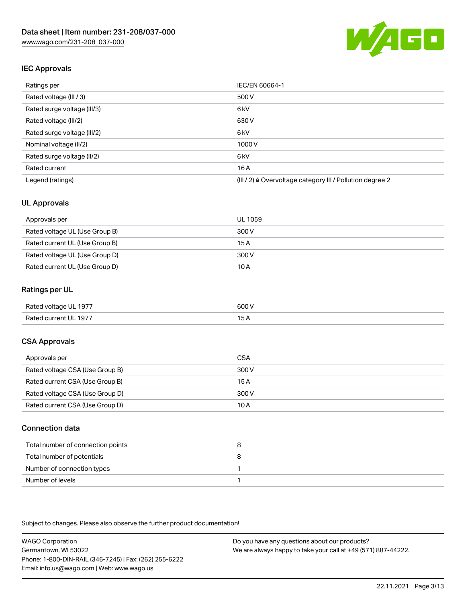

# IEC Approvals

| Ratings per                 | IEC/EN 60664-1                                            |
|-----------------------------|-----------------------------------------------------------|
| Rated voltage (III / 3)     | 500 V                                                     |
| Rated surge voltage (III/3) | 6 <sub>kV</sub>                                           |
| Rated voltage (III/2)       | 630 V                                                     |
| Rated surge voltage (III/2) | 6 <sub>kV</sub>                                           |
| Nominal voltage (II/2)      | 1000 V                                                    |
| Rated surge voltage (II/2)  | 6 <sub>kV</sub>                                           |
| Rated current               | 16A                                                       |
| Legend (ratings)            | (III / 2) ≙ Overvoltage category III / Pollution degree 2 |

#### UL Approvals

| Approvals per                  | UL 1059 |
|--------------------------------|---------|
| Rated voltage UL (Use Group B) | 300 V   |
| Rated current UL (Use Group B) | 15 A    |
| Rated voltage UL (Use Group D) | 300 V   |
| Rated current UL (Use Group D) | 10 A    |

#### Ratings per UL

| Rated voltage UL 1977 | 600 V |
|-----------------------|-------|
| Rated current UL 1977 |       |

### CSA Approvals

| Approvals per                   | CSA   |
|---------------------------------|-------|
| Rated voltage CSA (Use Group B) | 300 V |
| Rated current CSA (Use Group B) | 15 A  |
| Rated voltage CSA (Use Group D) | 300 V |
| Rated current CSA (Use Group D) | 10 A  |

#### Connection data

| Total number of connection points |  |
|-----------------------------------|--|
| Total number of potentials        |  |
| Number of connection types        |  |
| Number of levels                  |  |

Subject to changes. Please also observe the further product documentation!

WAGO Corporation Germantown, WI 53022 Phone: 1-800-DIN-RAIL (346-7245) | Fax: (262) 255-6222 Email: info.us@wago.com | Web: www.wago.us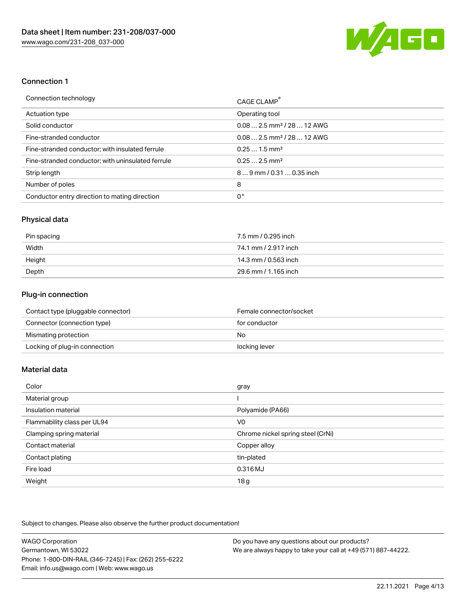

#### Connection 1

| Connection technology                             | CAGE CLAMP <sup>®</sup>                 |
|---------------------------------------------------|-----------------------------------------|
| Actuation type                                    | Operating tool                          |
| Solid conductor                                   | $0.08$ 2.5 mm <sup>2</sup> / 28  12 AWG |
| Fine-stranded conductor                           | $0.08$ 2.5 mm <sup>2</sup> / 28  12 AWG |
| Fine-stranded conductor; with insulated ferrule   | $0.251.5$ mm <sup>2</sup>               |
| Fine-stranded conductor; with uninsulated ferrule | $0.252.5$ mm <sup>2</sup>               |
| Strip length                                      | $89$ mm $/ 0.310.35$ inch               |
| Number of poles                                   | 8                                       |
| Conductor entry direction to mating direction     | 0°                                      |

#### Physical data

| Pin spacing | 7.5 mm / 0.295 inch  |
|-------------|----------------------|
| Width       | 74.1 mm / 2.917 inch |
| Height      | 14.3 mm / 0.563 inch |
| Depth       | 29.6 mm / 1.165 inch |

# Plug-in connection

| Contact type (pluggable connector) | Female connector/socket |
|------------------------------------|-------------------------|
| Connector (connection type)        | for conductor           |
| Mismating protection               | No                      |
| Locking of plug-in connection      | locking lever           |

## Material data

| Color                       | gray                              |
|-----------------------------|-----------------------------------|
| Material group              |                                   |
| Insulation material         | Polyamide (PA66)                  |
| Flammability class per UL94 | V0                                |
| Clamping spring material    | Chrome nickel spring steel (CrNi) |
| Contact material            | Copper alloy                      |
| Contact plating             | tin-plated                        |
| Fire load                   | 0.316 MJ                          |
| Weight                      | 18g                               |

Subject to changes. Please also observe the further product documentation!

| <b>WAGO Corporation</b>                                | Do you have any questions about our products?                 |
|--------------------------------------------------------|---------------------------------------------------------------|
| Germantown, WI 53022                                   | We are always happy to take your call at +49 (571) 887-44222. |
| Phone: 1-800-DIN-RAIL (346-7245)   Fax: (262) 255-6222 |                                                               |
| Email: info.us@wago.com   Web: www.wago.us             |                                                               |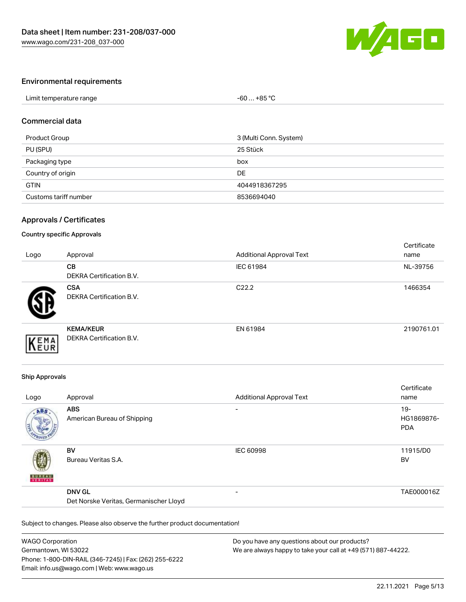

#### Environmental requirements

| Limit temperature range | .+85 °C<br>-60 |
|-------------------------|----------------|

#### Commercial data

| Product Group         | 3 (Multi Conn. System) |
|-----------------------|------------------------|
| PU (SPU)              | 25 Stück               |
| Packaging type        | box                    |
| Country of origin     | DE                     |
| <b>GTIN</b>           | 4044918367295          |
| Customs tariff number | 8536694040             |

#### Approvals / Certificates

#### Country specific Approvals

| Logo | Approval                                            | <b>Additional Approval Text</b> | Certificate<br>name |
|------|-----------------------------------------------------|---------------------------------|---------------------|
|      | <b>CB</b><br>DEKRA Certification B.V.               | IEC 61984                       | NL-39756            |
|      | <b>CSA</b><br><b>DEKRA Certification B.V.</b>       | C <sub>22.2</sub>               | 1466354             |
| EMA  | <b>KEMA/KEUR</b><br><b>DEKRA Certification B.V.</b> | EN 61984                        | 2190761.01          |

#### Ship Approvals

| Logo          | Approval                                                | <b>Additional Approval Text</b> | Certificate<br>name                |
|---------------|---------------------------------------------------------|---------------------------------|------------------------------------|
| ABS           | <b>ABS</b><br>American Bureau of Shipping               | $\overline{\phantom{a}}$        | $19 -$<br>HG1869876-<br><b>PDA</b> |
| <b>BUNEAU</b> | <b>BV</b><br>Bureau Veritas S.A.                        | <b>IEC 60998</b>                | 11915/D0<br><b>BV</b>              |
|               | <b>DNV GL</b><br>Det Norske Veritas, Germanischer Lloyd | $\overline{\phantom{0}}$        | TAE000016Z                         |

Subject to changes. Please also observe the further product documentation!

| <b>WAGO Corporation</b>                                | Do you have any questions about our products?                 |
|--------------------------------------------------------|---------------------------------------------------------------|
| Germantown, WI 53022                                   | We are always happy to take your call at +49 (571) 887-44222. |
| Phone: 1-800-DIN-RAIL (346-7245)   Fax: (262) 255-6222 |                                                               |
| Email: info.us@wago.com   Web: www.wago.us             |                                                               |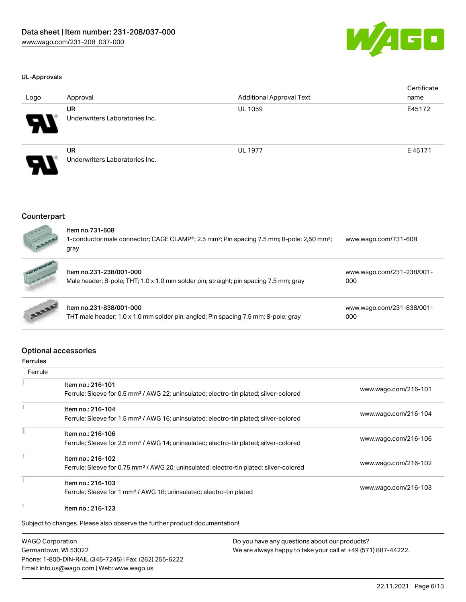

#### UL-Approvals

| Logo                  | Approval                                    | <b>Additional Approval Text</b> | Certificate<br>name |
|-----------------------|---------------------------------------------|---------------------------------|---------------------|
| $\boldsymbol{\theta}$ | <b>UR</b><br>Underwriters Laboratories Inc. | <b>UL 1059</b>                  | E45172              |
| $\boldsymbol{\theta}$ | <b>UR</b><br>Underwriters Laboratories Inc. | <b>UL 1977</b>                  | E45171              |

#### Counterpart

| <b>CONTRACTOR</b> | Item no.731-608<br>1-conductor male connector; CAGE CLAMP®; 2.5 mm <sup>2</sup> ; Pin spacing 7.5 mm; 8-pole; 2,50 mm <sup>2</sup> ;<br>gray | www.wago.com/731-608             |
|-------------------|----------------------------------------------------------------------------------------------------------------------------------------------|----------------------------------|
|                   | Item no.231-238/001-000<br>Male header; 8-pole; THT; 1.0 x 1.0 mm solder pin; straight; pin spacing 7.5 mm; gray                             | www.wago.com/231-238/001-<br>000 |
|                   | Item no.231-838/001-000<br>THT male header; 1.0 x 1.0 mm solder pin; angled; Pin spacing 7.5 mm; 8-pole; gray                                | www.wago.com/231-838/001-<br>000 |

#### Optional accessories

| <b>Ferrules</b> |                                                                                                    |                      |
|-----------------|----------------------------------------------------------------------------------------------------|----------------------|
| Ferrule         |                                                                                                    |                      |
|                 | Item no.: 216-101                                                                                  |                      |
|                 | Ferrule; Sleeve for 0.5 mm <sup>2</sup> / AWG 22; uninsulated; electro-tin plated; silver-colored  | www.wago.com/216-101 |
|                 | Item no.: 216-104                                                                                  |                      |
|                 | Ferrule; Sleeve for 1.5 mm <sup>2</sup> / AWG 16; uninsulated; electro-tin plated; silver-colored  | www.wago.com/216-104 |
|                 | Item no.: 216-106                                                                                  |                      |
|                 | Ferrule; Sleeve for 2.5 mm <sup>2</sup> / AWG 14; uninsulated; electro-tin plated; silver-colored  | www.wago.com/216-106 |
|                 | Item no.: 216-102                                                                                  |                      |
|                 | Ferrule; Sleeve for 0.75 mm <sup>2</sup> / AWG 20; uninsulated; electro-tin plated; silver-colored | www.wago.com/216-102 |
|                 | Item no.: 216-103                                                                                  |                      |
|                 | Ferrule; Sleeve for 1 mm <sup>2</sup> / AWG 18; uninsulated; electro-tin plated                    | www.wago.com/216-103 |
|                 | Item no.: 216-123                                                                                  |                      |

Subject to changes. Please also observe the further product documentation!

WAGO Corporation Germantown, WI 53022 Phone: 1-800-DIN-RAIL (346-7245) | Fax: (262) 255-6222 Email: info.us@wago.com | Web: www.wago.us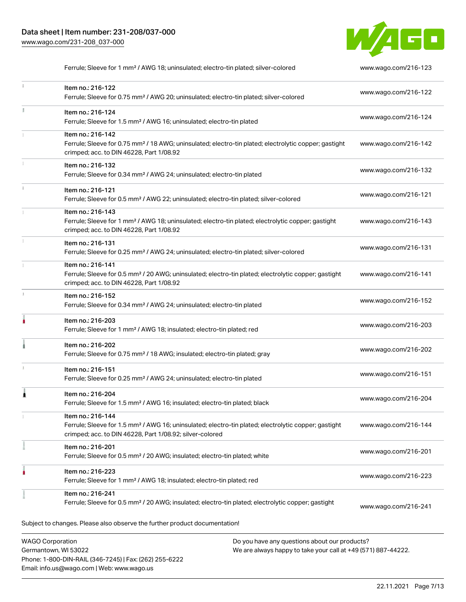Phone: 1-800-DIN-RAIL (346-7245) | Fax: (262) 255-6222

Email: info.us@wago.com | Web: www.wago.us



Ferrule; Sleeve for 1 mm² / AWG 18; uninsulated; electro-tin plated; silver-colored [www.wago.com/216-123](http://www.wago.com/216-123)

| ī. | Item no.: 216-122<br>Ferrule; Sleeve for 0.75 mm <sup>2</sup> / AWG 20; uninsulated; electro-tin plated; silver-colored                                                                           | www.wago.com/216-122 |
|----|---------------------------------------------------------------------------------------------------------------------------------------------------------------------------------------------------|----------------------|
| Ĭ. | Item no.: 216-124<br>Ferrule; Sleeve for 1.5 mm <sup>2</sup> / AWG 16; uninsulated; electro-tin plated                                                                                            | www.wago.com/216-124 |
|    | Item no.: 216-142<br>Ferrule; Sleeve for 0.75 mm <sup>2</sup> / 18 AWG; uninsulated; electro-tin plated; electrolytic copper; gastight<br>crimped; acc. to DIN 46228, Part 1/08.92                | www.wago.com/216-142 |
|    | Item no.: 216-132<br>Ferrule; Sleeve for 0.34 mm <sup>2</sup> / AWG 24; uninsulated; electro-tin plated                                                                                           | www.wago.com/216-132 |
|    | Item no.: 216-121<br>Ferrule; Sleeve for 0.5 mm <sup>2</sup> / AWG 22; uninsulated; electro-tin plated; silver-colored                                                                            | www.wago.com/216-121 |
|    | Item no.: 216-143<br>Ferrule; Sleeve for 1 mm <sup>2</sup> / AWG 18; uninsulated; electro-tin plated; electrolytic copper; gastight<br>crimped; acc. to DIN 46228, Part 1/08.92                   | www.wago.com/216-143 |
|    | Item no.: 216-131<br>Ferrule; Sleeve for 0.25 mm <sup>2</sup> / AWG 24; uninsulated; electro-tin plated; silver-colored                                                                           | www.wago.com/216-131 |
|    | Item no.: 216-141<br>Ferrule; Sleeve for 0.5 mm <sup>2</sup> / 20 AWG; uninsulated; electro-tin plated; electrolytic copper; gastight<br>crimped; acc. to DIN 46228, Part 1/08.92                 | www.wago.com/216-141 |
| J. | Item no.: 216-152<br>Ferrule; Sleeve for 0.34 mm <sup>2</sup> / AWG 24; uninsulated; electro-tin plated                                                                                           | www.wago.com/216-152 |
| ۸  | Item no.: 216-203<br>Ferrule; Sleeve for 1 mm <sup>2</sup> / AWG 18; insulated; electro-tin plated; red                                                                                           | www.wago.com/216-203 |
|    | Item no.: 216-202<br>Ferrule; Sleeve for 0.75 mm <sup>2</sup> / 18 AWG; insulated; electro-tin plated; gray                                                                                       | www.wago.com/216-202 |
|    | Item no.: 216-151<br>Ferrule; Sleeve for 0.25 mm <sup>2</sup> / AWG 24; uninsulated; electro-tin plated                                                                                           | www.wago.com/216-151 |
| 1  | Item no.: 216-204<br>Ferrule; Sleeve for 1.5 mm <sup>2</sup> / AWG 16; insulated; electro-tin plated; black                                                                                       | www.wago.com/216-204 |
|    | Item no.: 216-144<br>Ferrule; Sleeve for 1.5 mm <sup>2</sup> / AWG 16; uninsulated; electro-tin plated; electrolytic copper; gastight<br>crimped; acc. to DIN 46228, Part 1/08.92; silver-colored | www.wago.com/216-144 |
|    | Item no.: 216-201<br>Ferrule; Sleeve for 0.5 mm <sup>2</sup> / 20 AWG; insulated; electro-tin plated; white                                                                                       | www.wago.com/216-201 |
| ۸  | Item no.: 216-223<br>Ferrule; Sleeve for 1 mm <sup>2</sup> / AWG 18; insulated; electro-tin plated; red                                                                                           | www.wago.com/216-223 |
|    | Item no.: 216-241<br>Ferrule; Sleeve for 0.5 mm <sup>2</sup> / 20 AWG; insulated; electro-tin plated; electrolytic copper; gastight                                                               | www.wago.com/216-241 |
|    | Subject to changes. Please also observe the further product documentation!                                                                                                                        |                      |
|    | <b>WAGO Corporation</b><br>Do you have any questions about our products?<br>Germantown, WI 53022<br>We are always happy to take your call at +49 (571) 887-44222.                                 |                      |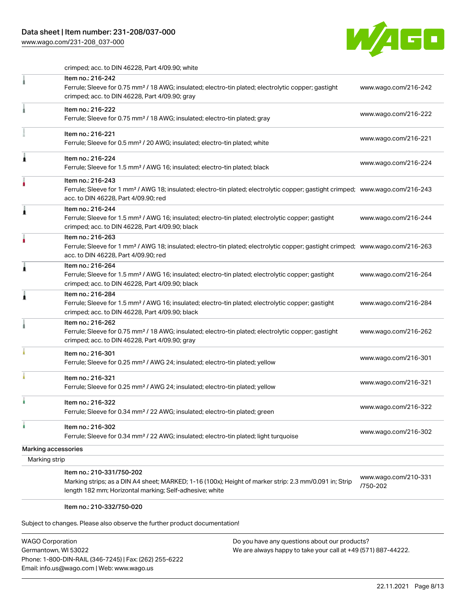## Data sheet | Item number: 231-208/037-000

[www.wago.com/231-208\\_037-000](http://www.wago.com/231-208_037-000)



crimped; acc. to DIN 46228, Part 4/09.90; white

|                                      | Item no.: 216-242<br>Ferrule; Sleeve for 0.75 mm <sup>2</sup> / 18 AWG; insulated; electro-tin plated; electrolytic copper; gastight<br>crimped; acc. to DIN 46228, Part 4/09.90; gray                  | www.wago.com/216-242             |
|--------------------------------------|---------------------------------------------------------------------------------------------------------------------------------------------------------------------------------------------------------|----------------------------------|
|                                      | Item no.: 216-222<br>Ferrule; Sleeve for 0.75 mm <sup>2</sup> / 18 AWG; insulated; electro-tin plated; gray                                                                                             | www.wago.com/216-222             |
|                                      | Item no.: 216-221<br>Ferrule; Sleeve for 0.5 mm <sup>2</sup> / 20 AWG; insulated; electro-tin plated; white                                                                                             | www.wago.com/216-221             |
| Â                                    | Item no.: 216-224<br>Ferrule; Sleeve for 1.5 mm <sup>2</sup> / AWG 16; insulated; electro-tin plated; black                                                                                             | www.wago.com/216-224             |
|                                      | Item no.: 216-243<br>Ferrule; Sleeve for 1 mm <sup>2</sup> / AWG 18; insulated; electro-tin plated; electrolytic copper; gastight crimped; www.wago.com/216-243<br>acc. to DIN 46228, Part 4/09.90; red |                                  |
| Â                                    | Item no.: 216-244<br>Ferrule; Sleeve for 1.5 mm <sup>2</sup> / AWG 16; insulated; electro-tin plated; electrolytic copper; gastight<br>crimped; acc. to DIN 46228, Part 4/09.90; black                  | www.wago.com/216-244             |
|                                      | Item no.: 216-263<br>Ferrule; Sleeve for 1 mm <sup>2</sup> / AWG 18; insulated; electro-tin plated; electrolytic copper; gastight crimped; www.wago.com/216-263<br>acc. to DIN 46228, Part 4/09.90; red |                                  |
| ۸                                    | Item no.: 216-264<br>Ferrule; Sleeve for 1.5 mm <sup>2</sup> / AWG 16; insulated; electro-tin plated; electrolytic copper; gastight<br>crimped; acc. to DIN 46228, Part 4/09.90; black                  | www.wago.com/216-264             |
| ۸                                    | Item no.: 216-284<br>Ferrule; Sleeve for 1.5 mm <sup>2</sup> / AWG 16; insulated; electro-tin plated; electrolytic copper; gastight<br>crimped; acc. to DIN 46228, Part 4/09.90; black                  | www.wago.com/216-284             |
|                                      | Item no.: 216-262<br>Ferrule; Sleeve for 0.75 mm <sup>2</sup> / 18 AWG; insulated; electro-tin plated; electrolytic copper; gastight<br>crimped; acc. to DIN 46228, Part 4/09.90; gray                  | www.wago.com/216-262             |
|                                      | Item no.: 216-301<br>Ferrule; Sleeve for 0.25 mm <sup>2</sup> / AWG 24; insulated; electro-tin plated; yellow                                                                                           | www.wago.com/216-301             |
|                                      | Item no.: 216-321<br>Ferrule; Sleeve for 0.25 mm <sup>2</sup> / AWG 24; insulated; electro-tin plated; yellow                                                                                           | www.wago.com/216-321             |
|                                      | Item no.: 216-322<br>Ferrule; Sleeve for 0.34 mm <sup>2</sup> / 22 AWG; insulated; electro-tin plated; green                                                                                            | www.wago.com/216-322             |
| à                                    | Item no.: 216-302<br>Ferrule; Sleeve for 0.34 mm <sup>2</sup> / 22 AWG; insulated; electro-tin plated; light turquoise                                                                                  | www.wago.com/216-302             |
| Marking accessories<br>Marking strip |                                                                                                                                                                                                         |                                  |
|                                      | Item no.: 210-331/750-202<br>Marking strips; as a DIN A4 sheet; MARKED; 1-16 (100x); Height of marker strip: 2.3 mm/0.091 in; Strip<br>length 182 mm; Horizontal marking; Self-adhesive; white          | www.wago.com/210-331<br>/750-202 |

#### Item no.: 210-332/750-020

Subject to changes. Please also observe the further product documentation!

| <b>WAGO Corporation</b>                                |
|--------------------------------------------------------|
| Germantown, WI 53022                                   |
| Phone: 1-800-DIN-RAIL (346-7245)   Fax: (262) 255-6222 |
| Email: info.us@wago.com   Web: www.wago.us             |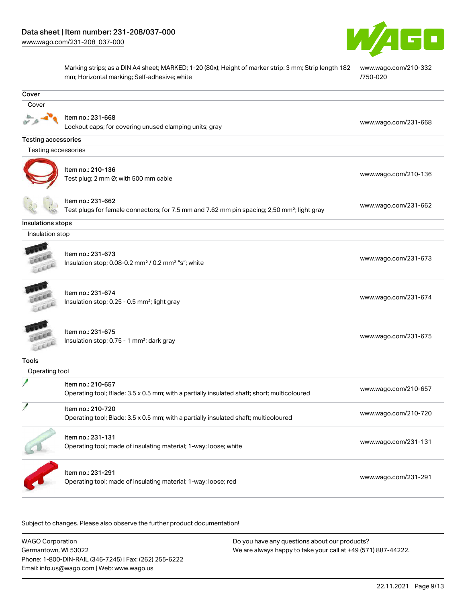

Marking strips; as a DIN A4 sheet; MARKED; 1-20 (80x); Height of marker strip: 3 mm; Strip length 182 mm; Horizontal marking; Self-adhesive; white [www.wago.com/210-332](http://www.wago.com/210-332/750-020) [/750-020](http://www.wago.com/210-332/750-020)

| Cover                      |                                                                                                         |                      |
|----------------------------|---------------------------------------------------------------------------------------------------------|----------------------|
| Cover                      |                                                                                                         |                      |
|                            | Item no.: 231-668                                                                                       | www.wago.com/231-668 |
|                            | Lockout caps; for covering unused clamping units; gray                                                  |                      |
| <b>Testing accessories</b> |                                                                                                         |                      |
| Testing accessories        |                                                                                                         |                      |
|                            |                                                                                                         |                      |
|                            | Item no.: 210-136                                                                                       | www.wago.com/210-136 |
|                            | Test plug; 2 mm Ø; with 500 mm cable                                                                    |                      |
|                            | Item no.: 231-662                                                                                       | www.wago.com/231-662 |
|                            | Test plugs for female connectors; for 7.5 mm and 7.62 mm pin spacing; 2,50 mm <sup>2</sup> ; light gray |                      |
| Insulations stops          |                                                                                                         |                      |
| Insulation stop            |                                                                                                         |                      |
|                            |                                                                                                         |                      |
|                            | Item no.: 231-673                                                                                       | www.wago.com/231-673 |
|                            | Insulation stop; 0.08-0.2 mm <sup>2</sup> / 0.2 mm <sup>2</sup> "s"; white                              |                      |
|                            |                                                                                                         |                      |
|                            | Item no.: 231-674<br>Insulation stop; 0.25 - 0.5 mm <sup>2</sup> ; light gray                           | www.wago.com/231-674 |
| ica                        |                                                                                                         |                      |
|                            |                                                                                                         |                      |
|                            | Item no.: 231-675<br>Insulation stop; 0.75 - 1 mm <sup>2</sup> ; dark gray                              | www.wago.com/231-675 |
| <b>CEEL</b>                |                                                                                                         |                      |
| <b>Tools</b>               |                                                                                                         |                      |
| Operating tool             |                                                                                                         |                      |
|                            | Item no.: 210-657                                                                                       |                      |
|                            | Operating tool; Blade: 3.5 x 0.5 mm; with a partially insulated shaft; short; multicoloured             | www.wago.com/210-657 |
|                            | Item no.: 210-720                                                                                       |                      |
|                            | Operating tool; Blade: 3.5 x 0.5 mm; with a partially insulated shaft; multicoloured                    | www.wago.com/210-720 |
|                            | Item no.: 231-131                                                                                       |                      |
|                            | Operating tool; made of insulating material; 1-way; loose; white                                        | www.wago.com/231-131 |
|                            |                                                                                                         |                      |
|                            | Item no.: 231-291                                                                                       |                      |
|                            | Operating tool; made of insulating material; 1-way; loose; red                                          | www.wago.com/231-291 |
|                            |                                                                                                         |                      |

.<br>Subject to changes. Please also observe the further product documentation!

WAGO Corporation Germantown, WI 53022 Phone: 1-800-DIN-RAIL (346-7245) | Fax: (262) 255-6222 Email: info.us@wago.com | Web: www.wago.us Do you have any questions about our products? We are always happy to take your call at +49 (571) 887-44222.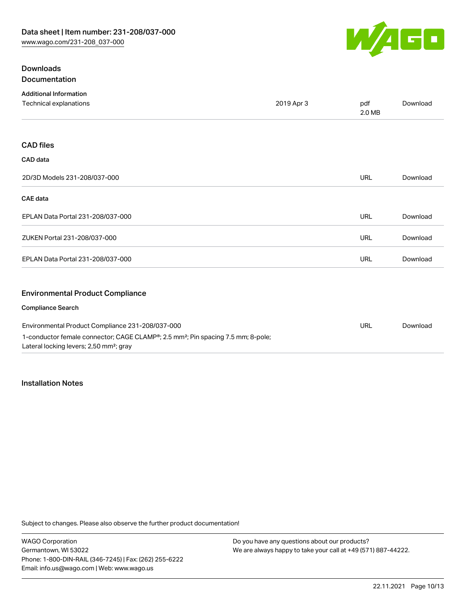

## **Downloads** Documentation

| <b>Additional Information</b>                    |            |               |          |
|--------------------------------------------------|------------|---------------|----------|
| Technical explanations                           | 2019 Apr 3 | pdf<br>2.0 MB | Download |
|                                                  |            |               |          |
| <b>CAD files</b>                                 |            |               |          |
| CAD data                                         |            |               |          |
| 2D/3D Models 231-208/037-000                     |            | <b>URL</b>    | Download |
| <b>CAE</b> data                                  |            |               |          |
| EPLAN Data Portal 231-208/037-000                |            | <b>URL</b>    | Download |
| ZUKEN Portal 231-208/037-000                     |            | <b>URL</b>    | Download |
| EPLAN Data Portal 231-208/037-000                |            | <b>URL</b>    | Download |
| <b>Environmental Product Compliance</b>          |            |               |          |
| <b>Compliance Search</b>                         |            |               |          |
| Environmental Product Compliance 231-208/037-000 |            | <b>URL</b>    | Download |

| Environmental Product Compliance 231-208/037-000                                                          | URL | Down |
|-----------------------------------------------------------------------------------------------------------|-----|------|
| 1-conductor female connector; CAGE CLAMP <sup>®</sup> ; 2.5 mm <sup>2</sup> ; Pin spacing 7.5 mm; 8-pole; |     |      |
| Lateral locking levers; 2,50 mm <sup>2</sup> ; gray                                                       |     |      |

### Installation Notes

Subject to changes. Please also observe the further product documentation!

| WAGO Corporation                                       |
|--------------------------------------------------------|
| Germantown, WI 53022                                   |
| Phone: 1-800-DIN-RAIL (346-7245)   Fax: (262) 255-6222 |
| Email: info.us@wago.com   Web: www.wago.us             |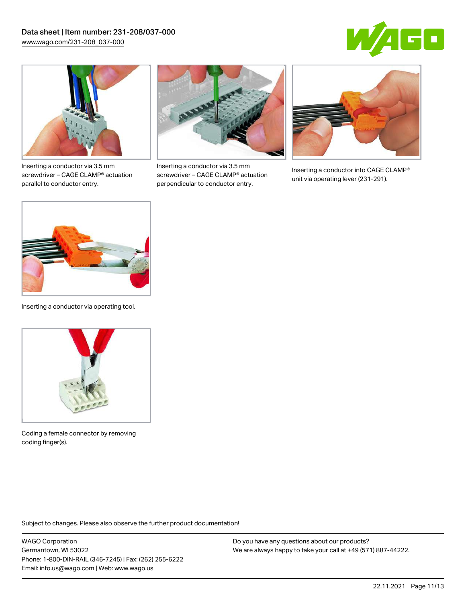



Inserting a conductor via 3.5 mm screwdriver – CAGE CLAMP® actuation parallel to conductor entry.



Inserting a conductor via 3.5 mm screwdriver – CAGE CLAMP® actuation perpendicular to conductor entry.



Inserting a conductor into CAGE CLAMP® unit via operating lever (231-291).



Inserting a conductor via operating tool.



Coding a female connector by removing coding finger(s).

Subject to changes. Please also observe the further product documentation!

WAGO Corporation Germantown, WI 53022 Phone: 1-800-DIN-RAIL (346-7245) | Fax: (262) 255-6222 Email: info.us@wago.com | Web: www.wago.us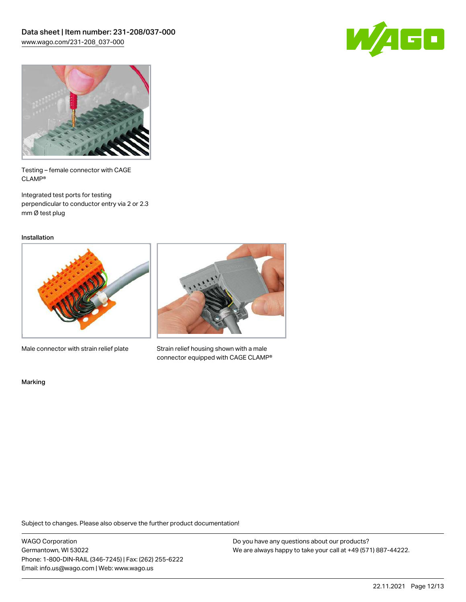



Testing – female connector with CAGE CLAMP®

Integrated test ports for testing perpendicular to conductor entry via 2 or 2.3 mm Ø test plug

Installation



Male connector with strain relief plate



Strain relief housing shown with a male connector equipped with CAGE CLAMP®

Marking

Subject to changes. Please also observe the further product documentation!

WAGO Corporation Germantown, WI 53022 Phone: 1-800-DIN-RAIL (346-7245) | Fax: (262) 255-6222 Email: info.us@wago.com | Web: www.wago.us